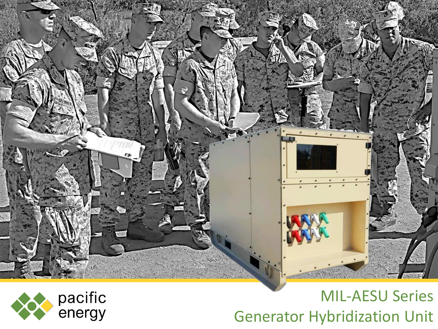

# pacific<br>energy

# MIL-AESU Series Generator Hybridization Unit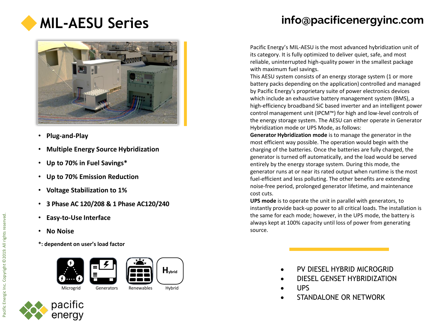## **info@pacificenergyinc.com**

## **MIL -AESU Series**



- Plug-and-Play
- **Multiple Energy Source Hybridization**
- **Up to 70% in Fuel Savings\***
- **Up to 70% Emission Reduction**
- **Voltage Stabilization to 1%**
- **3 Phase AC 120/208 & 1 Phase AC120/240**
- **Easy-to-Use Interface**
- **No Noise**
- **\*: dependent on user's load factor**



Pacific Energy's MIL -AESU is the most advanced hybridization unit of its category. It is fully optimized to deliver quiet, safe, and most reliable, uninterrupted high -quality power in the smallest package with maximum fuel savings.

This AESU system consists of an energy storage system (1 or more battery packs depending on the application) controlled and managed by Pacific Energy's proprietary suite of power electronics devices which include an exhaustive battery management system (BMS), a high -efficiency broadband SiC based inverter and an intelligent power control management unit (IPCM™) for high and low -level controls of the energy storage system. The AESU can either operate in Generator Hybridization mode or UPS Mode, as follows:

**Generator Hybridization mode** is to manage the generator in the most efficient way possible. The operation would begin with the charging of the batteries. Once the batteries are fully charged, the generator is turned off automatically, and the load would be served entirely by the energy storage system. During this mode, the generator runs at or near its rated output when runtime is the most fuel -efficient and less polluting. The other benefits are extending noise -free period, prolonged generator lifetime, and maintenance cost cuts.

**UPS mode** is to operate the unit in parallel with generators, to instantly provide back -up power to all critical loads. The installation is the same for each mode; however, in the UPS mode, the battery is always kept at 100% capacity until loss of power from generating source.

- PV DIESEL HYBRID MICROGRID
- DIESEL GENSET HYBRIDIZATION
- UPS
- STANDALONE OR NETWORK

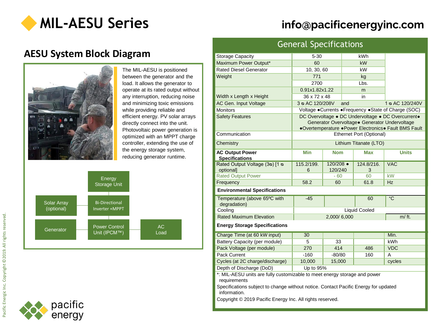

#### **info@pacificenergyinc.com**

#### **AESU System Block Diagram**



The MIL-AESU is positioned between the generator and the load. It allows the generator to operate at its rated output without any interruption, reducing noise and minimizing toxic emissions while providing reliable and efficient energy. PV solar arrays directly connect into the unit. Photovoltaic power generation is optimized with an MPPT charge controller, extending the use of the energy storage system, reducing generator runtime.



| . <u>.</u>                                                                                                                                                                                                                                                    |                                                                                                                                                             |            |      |            |                 |
|---------------------------------------------------------------------------------------------------------------------------------------------------------------------------------------------------------------------------------------------------------------|-------------------------------------------------------------------------------------------------------------------------------------------------------------|------------|------|------------|-----------------|
| <b>Storage Capacity</b>                                                                                                                                                                                                                                       | $5 - 30$                                                                                                                                                    |            |      | kWh        |                 |
| Maximum Power Output*                                                                                                                                                                                                                                         | 60                                                                                                                                                          |            | kW   |            |                 |
| Rated Diesel Generator                                                                                                                                                                                                                                        | 10, 30, 60                                                                                                                                                  |            | kW   |            |                 |
| Weight                                                                                                                                                                                                                                                        | 771                                                                                                                                                         |            | kg   |            |                 |
|                                                                                                                                                                                                                                                               | 2700                                                                                                                                                        |            | Lbs. |            |                 |
|                                                                                                                                                                                                                                                               | 0.91x1.82x1.22                                                                                                                                              |            | m    |            |                 |
| Width x Length x Height                                                                                                                                                                                                                                       | 36 x 72 x 48                                                                                                                                                |            |      | in         |                 |
| <b>AC Gen. Input Voltage</b>                                                                                                                                                                                                                                  | 3 & AC 120/208V<br>and                                                                                                                                      |            |      |            | 1 & AC 120/240V |
| Monitors                                                                                                                                                                                                                                                      | Voltage .Currents .Frequency .State of Charge (SOC)                                                                                                         |            |      |            |                 |
| <b>Safety Features</b>                                                                                                                                                                                                                                        | DC Overvoltage . DC Undervoltage . DC Overcurrent.<br>Generator Overvoltage. Generator Undervoltage<br>•Overtemperature •Power Electronics• Fault BMS Fault |            |      |            |                 |
| Communication                                                                                                                                                                                                                                                 | Ethernet Port (Optional)                                                                                                                                    |            |      |            |                 |
| Chemistry                                                                                                                                                                                                                                                     | Lithium Titanate (LTO)                                                                                                                                      |            |      |            |                 |
| <b>AC Output Power</b><br><b>Specifications</b>                                                                                                                                                                                                               | Min                                                                                                                                                         | <b>Nom</b> |      | <b>Max</b> | <b>Units</b>    |
| Rated Output Voltage (3s) [1 s                                                                                                                                                                                                                                | 115.2/199.                                                                                                                                                  | 120/208 •  |      | 124.8/216. | <b>VAC</b>      |
| optional]                                                                                                                                                                                                                                                     | 6                                                                                                                                                           | 120/240    |      | 3          |                 |
| <b>Rated Output Power</b>                                                                                                                                                                                                                                     |                                                                                                                                                             | $-60$      |      | 60         | kW              |
| Frequency                                                                                                                                                                                                                                                     | 58.2                                                                                                                                                        | 60         |      | 61.8       | <b>Hz</b>       |
| <b>Environmental Specifications</b>                                                                                                                                                                                                                           |                                                                                                                                                             |            |      |            |                 |
| Temperature (above 65°C with<br>degradation)                                                                                                                                                                                                                  | $-45$                                                                                                                                                       |            |      | 60         | $\overline{C}$  |
| Cooling                                                                                                                                                                                                                                                       | <b>Liquid Cooled</b>                                                                                                                                        |            |      |            |                 |
| <b>Rated Maximum Elevation</b>                                                                                                                                                                                                                                | m/ft.<br>2,000/6,000                                                                                                                                        |            |      |            |                 |
| <b>Energy Storage Specifications</b>                                                                                                                                                                                                                          |                                                                                                                                                             |            |      |            |                 |
| Charge Time (at 60 kW input)                                                                                                                                                                                                                                  | 30                                                                                                                                                          |            |      |            | Min.            |
| Battery Capacity (per module)                                                                                                                                                                                                                                 | 5                                                                                                                                                           | 33         |      |            | <b>kWh</b>      |
| Pack Voltage (per module)                                                                                                                                                                                                                                     | 270                                                                                                                                                         | 414        |      | 486        | <b>VDC</b>      |
| Pack Current                                                                                                                                                                                                                                                  | $-160$                                                                                                                                                      | $-80/80$   |      | 160        | A               |
| Cycles (at 2C charge/discharge)                                                                                                                                                                                                                               | 10,000                                                                                                                                                      | 15,000     |      |            | cycles          |
| Depth of Discharge (DoD)<br>Up to 95%                                                                                                                                                                                                                         |                                                                                                                                                             |            |      |            |                 |
| *: MIL-AESU units are fully customizable to meet energy storage and power<br>requirements<br>Specifications subject to change without notice. Contact Pacific Energy for updated<br>information.<br>Copyright © 2019 Pacific Energy Inc. All rights reserved. |                                                                                                                                                             |            |      |            |                 |
|                                                                                                                                                                                                                                                               |                                                                                                                                                             |            |      |            |                 |

General Specifications